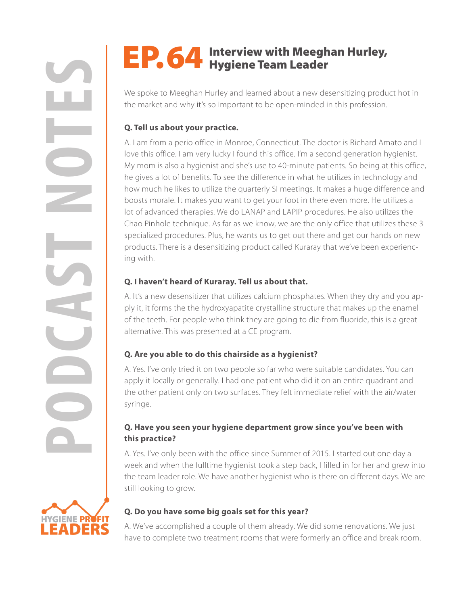**HYGIENE PROFIT** DER

# EP. 64 Interview with Meeghan Hurley,

We spoke to Meeghan Hurley and learned about a new desensitizing product hot in the market and why it's so important to be open-minded in this profession.

### **Q. Tell us about your practice.**

**POP. 64** Interview with Meeghan Hurley,<br>We spoke to Meeghan thorky and hearned about a new devensitiving production members and why it's so important to be open minded in this profession.<br>
A lant from a postor office in M A. I am from a perio office in Monroe, Connecticut. The doctor is Richard Amato and I love this office. I am very lucky I found this office. I'm a second generation hygienist. My mom is also a hygienist and she's use to 40-minute patients. So being at this office, he gives a lot of benefits. To see the difference in what he utilizes in technology and how much he likes to utilize the quarterly SI meetings. It makes a huge difference and boosts morale. It makes you want to get your foot in there even more. He utilizes a lot of advanced therapies. We do LANAP and LAPIP procedures. He also utilizes the Chao Pinhole technique. As far as we know, we are the only office that utilizes these 3 specialized procedures. Plus, he wants us to get out there and get our hands on new products. There is a desensitizing product called Kuraray that we've been experiencing with.

### **Q. I haven't heard of Kuraray. Tell us about that.**

A. It's a new desensitizer that utilizes calcium phosphates. When they dry and you apply it, it forms the the hydroxyapatite crystalline structure that makes up the enamel of the teeth. For people who think they are going to die from fluoride, this is a great alternative. This was presented at a CE program.

## **Q. Are you able to do this chairside as a hygienist?**

A. Yes. I've only tried it on two people so far who were suitable candidates. You can apply it locally or generally. I had one patient who did it on an entire quadrant and the other patient only on two surfaces. They felt immediate relief with the air/water syringe.

### **Q. Have you seen your hygiene department grow since you've been with this practice?**

A. Yes. I've only been with the office since Summer of 2015. I started out one day a week and when the fulltime hygienist took a step back, I filled in for her and grew into the team leader role. We have another hygienist who is there on different days. We are still looking to grow.



A. We've accomplished a couple of them already. We did some renovations. We just have to complete two treatment rooms that were formerly an office and break room.